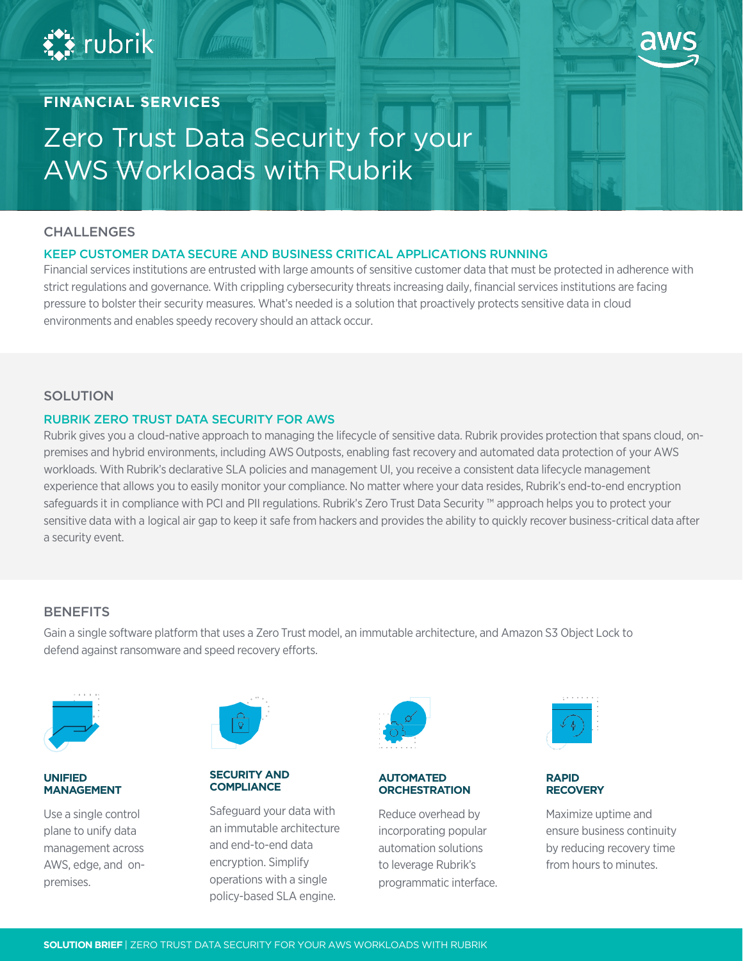

## **FINANCIAL SERVICES**

# Zero Trust Data Security for your AWS Workloads with Rubrik

## **CHALLENGES**

## KEEP CUSTOMER DATA SECURE AND BUSINESS CRITICAL APPLICATIONS RUNNING

Financial services institutions are entrusted with large amounts of sensitive customer data that must be protected in adherence with strict regulations and governance. With crippling cybersecurity threats increasing daily, financial services institutions are facing pressure to bolster their security measures. What's needed is a solution that proactively protects sensitive data in cloud environments and enables speedy recovery should an attack occur.

## **SOLUTION**

## RUBRIK ZERO TRUST DATA SECURITY FOR AWS

Rubrik gives you a cloud-native approach to managing the lifecycle of sensitive data. Rubrik provides protection that spans cloud, onpremises and hybrid environments, including AWS Outposts, enabling fast recovery and automated data protection of your AWS workloads. With Rubrik's declarative SLA policies and management UI, you receive a consistent data lifecycle management experience that allows you to easily monitor your compliance. No matter where your data resides, Rubrik's end-to-end encryption safeguards it in compliance with PCI and PII regulations. Rubrik's Zero Trust Data Security ™ approach helps you to protect your sensitive data with a logical air gap to keep it safe from hackers and provides the ability to quickly recover business-critical data after a security event.

## **BENEFITS**

Gain a single software platform that uses a Zero Trust model, an immutable architecture, and Amazon S3 Object Lock to defend against ransomware and speed recovery efforts.



#### **UNIFIED MANAGEMENT**

Use a single control plane to unify data management across AWS, edge, and onpremises.



**SECURITY AND COMPLIANCE**

Safeguard your data with an immutable architecture and end-to-end data encryption. Simplify operations with a single policy-based SLA engine.



**AUTOMATED ORCHESTRATION**

Reduce overhead by incorporating popular automation solutions to leverage Rubrik's programmatic interface.



**RAPID RECOVERY**

Maximize uptime and ensure business continuity by reducing recovery time from hours to minutes.